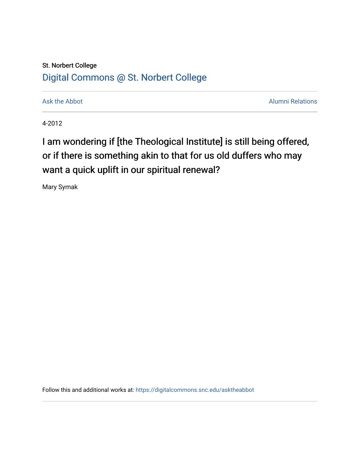## St. Norbert College [Digital Commons @ St. Norbert College](https://digitalcommons.snc.edu/)

[Ask the Abbot](https://digitalcommons.snc.edu/asktheabbot) **Alumni Relations** Ask the Abbot [Alumni Relations](https://digitalcommons.snc.edu/alumni) and Alumni Relations and Alumni Relations and Alumni Relations and Alumni Relations and Alumni Relations and Alumni Relations and Alumni Relations and Alumni

4-2012

## I am wondering if [the Theological Institute] is still being offered, or if there is something akin to that for us old duffers who may want a quick uplift in our spiritual renewal?

Mary Symak

Follow this and additional works at: [https://digitalcommons.snc.edu/asktheabbot](https://digitalcommons.snc.edu/asktheabbot?utm_source=digitalcommons.snc.edu%2Fasktheabbot%2F58&utm_medium=PDF&utm_campaign=PDFCoverPages)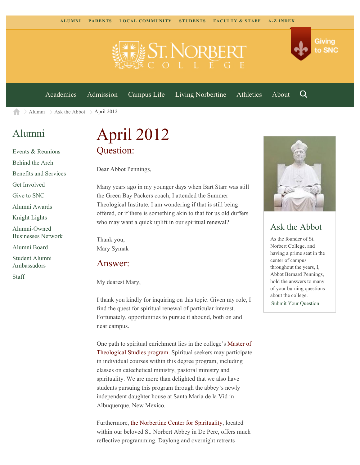

[Academics](https://www.snc.edu/academics) [Admission](https://www.snc.edu/admission) [Campus Life](https://www.snc.edu/campuslife) [Living Norbertine](https://www.snc.edu/livingnorbertine) [Athletics](https://www.snc.edu/athletics) [About](https://www.snc.edu/about)

Q

Giving

to SNC

 $\ge$  [Alumni](https://www.snc.edu/alumni/)  $\ge$  [Ask the Abbot](https://www.snc.edu/alumni/abbot/)  $\ge$  April 2012 A

## [Alumni](https://www.snc.edu/alumni/index.html)

[Events & Reunions](https://www.snc.edu/alumni/event/index.html) [Behind the Arch](https://www.snc.edu/alumni/event/behindthearch/) [Benefits and Services](https://www.snc.edu/alumni/benefits.html) [Get Involved](https://www.snc.edu/alumni/getinvolved.html) [Give to SNC](http://giving.snc.edu/) [Alumni Awards](https://www.snc.edu/alumni/awards/index.html) [Knight Lights](https://www.snc.edu/alumni/knightlights/index.html) [Alumni-Owned](https://www.snc.edu/alumni/directory/index.html) [Businesses Network](https://www.snc.edu/alumni/directory/index.html) [Alumni Board](https://www.snc.edu/alumni/alumniboard.html) [Student Alumni](https://www.snc.edu/alumni/saa.html) [Ambassadors](https://www.snc.edu/alumni/saa.html) [Staff](https://www.snc.edu/alumni/contactus.html)

# April 2012 Question:

Dear Abbot Pennings,

Many years ago in my younger days when Bart Starr was still the Green Bay Packers coach, I attended the Summer Theological Institute. I am wondering if that is still being offered, or if there is something akin to that for us old duffers who may want a quick uplift in our spiritual renewal?

Thank you, Mary Symak

#### Answer:

My dearest Mary,

I thank you kindly for inquiring on this topic. Given my role, I find the quest for spiritual renewal of particular interest. Fortunately, opportunities to pursue it abound, both on and near campus.

One path to spiritual enrichment lies in the college's [Master of](http://www.snc.edu/mts) [Theological Studies program.](http://www.snc.edu/mts) Spiritual seekers may participate in individual courses within this degree program, including classes on catechetical ministry, pastoral ministry and spirituality. We are more than delighted that we also have students pursuing this program through the abbey's newly independent daughter house at Santa Maria de la Vid in Albuquerque, New Mexico.

Furthermore, [the Norbertine Center for Spirituality](http://www.norbertines.org/norbertine-center-for-spirituality/), located within our beloved St. Norbert Abbey in De Pere, offers much reflective programming. Daylong and overnight retreats



### Ask the Abbot

As the founder of St. Norbert College, and having a prime seat in the center of campus throughout the years, I, Abbot Bernard Pennings, hold the answers to many of your burning questions about the college. [Submit Your Question](https://www.snc.edu/alumni/abbot/index.html)